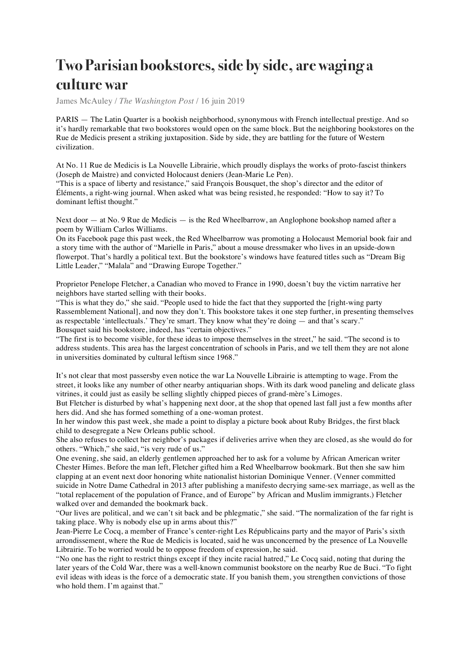## **Two Parisian bookstores, side by side, are waging a culture war**

James McAuley / *The Washington Post* / 16 juin 2019

PARIS — The Latin Quarter is a bookish neighborhood, synonymous with French intellectual prestige. And so it's hardly remarkable that two bookstores would open on the same block. But the neighboring bookstores on the Rue de Medicis present a striking juxtaposition. Side by side, they are battling for the future of Western civilization.

At No. 11 Rue de Medicis is La Nouvelle Librairie, which proudly displays the works of proto-fascist thinkers (Joseph de Maistre) and convicted Holocaust deniers (Jean-Marie Le Pen).

"This is a space of liberty and resistance," said François Bousquet, the shop's director and the editor of Éléments, a right-wing journal. When asked what was being resisted, he responded: "How to say it? To dominant leftist thought."

Next door — at No. 9 Rue de Medicis — is the Red Wheelbarrow, an Anglophone bookshop named after a poem by William Carlos Williams.

On its Facebook page this past week, the Red Wheelbarrow was promoting a Holocaust Memorial book fair and a story time with the author of "Marielle in Paris," about a mouse dressmaker who lives in an upside-down flowerpot. That's hardly a political text. But the bookstore's windows have featured titles such as "Dream Big Little Leader," "Malala" and "Drawing Europe Together."

Proprietor Penelope Fletcher, a Canadian who moved to France in 1990, doesn't buy the victim narrative her neighbors have started selling with their books.

"This is what they do," she said. "People used to hide the fact that they supported the [right-wing party Rassemblement National], and now they don't. This bookstore takes it one step further, in presenting themselves as respectable 'intellectuals.' They're smart. They know what they're doing — and that's scary." Bousquet said his bookstore, indeed, has "certain objectives."

"The first is to become visible, for these ideas to impose themselves in the street," he said. "The second is to address students. This area has the largest concentration of schools in Paris, and we tell them they are not alone in universities dominated by cultural leftism since 1968."

It's not clear that most passersby even notice the war La Nouvelle Librairie is attempting to wage. From the street, it looks like any number of other nearby antiquarian shops. With its dark wood paneling and delicate glass vitrines, it could just as easily be selling slightly chipped pieces of grand-mère's Limoges.

But Fletcher is disturbed by what's happening next door, at the shop that opened last fall just a few months after hers did. And she has formed something of a one-woman protest.

In her window this past week, she made a point to display a picture book about Ruby Bridges, the first black child to desegregate a New Orleans public school.

She also refuses to collect her neighbor's packages if deliveries arrive when they are closed, as she would do for others. "Which," she said, "is very rude of us."

One evening, she said, an elderly gentlemen approached her to ask for a volume by African American writer Chester Himes. Before the man left, Fletcher gifted him a Red Wheelbarrow bookmark. But then she saw him clapping at an event next door honoring white nationalist historian Dominique Venner. (Venner committed suicide in Notre Dame Cathedral in 2013 after publishing a manifesto decrying same-sex marriage, as well as the "total replacement of the population of France, and of Europe" by African and Muslim immigrants.) Fletcher walked over and demanded the bookmark back.

"Our lives are political, and we can't sit back and be phlegmatic," she said. "The normalization of the far right is taking place. Why is nobody else up in arms about this?"

Jean-Pierre Le Cocq, a member of France's center-right Les Républicains party and the mayor of Paris's sixth arrondissement, where the Rue de Medicis is located, said he was unconcerned by the presence of La Nouvelle Librairie. To be worried would be to oppose freedom of expression, he said.

"No one has the right to restrict things except if they incite racial hatred," Le Cocq said, noting that during the later years of the Cold War, there was a well-known communist bookstore on the nearby Rue de Buci. "To fight evil ideas with ideas is the force of a democratic state. If you banish them, you strengthen convictions of those who hold them. I'm against that."